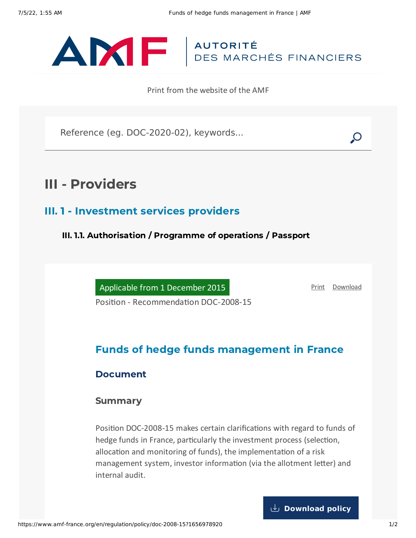

Print from the website of the AMF

Reference (eg. DOC-2020-02), keywords...

# III - Providers

### III. 1 - Investment services providers

III. 1.1. Authorisation / Programme of operations / Passport

Applicable from 1 December 2015

[Print](javascript:window.print()) [Download](https://www.amf-france.org/sites/default/files/pdf/62980/en/Funds_of_hedge_funds_management_in_France.pdf?1656978921)

Position - Recommendation DOC-2008-15

## Funds of hedge funds management in France

#### Document

#### **Summary**

Position DOC-2008-15 makes certain clarifications with regard to funds of hedge funds in France, particularly the investment process (selection, allocation and monitoring of funds), the implementation of a risk management system, investor information (via the allotment letter) and internal audit.